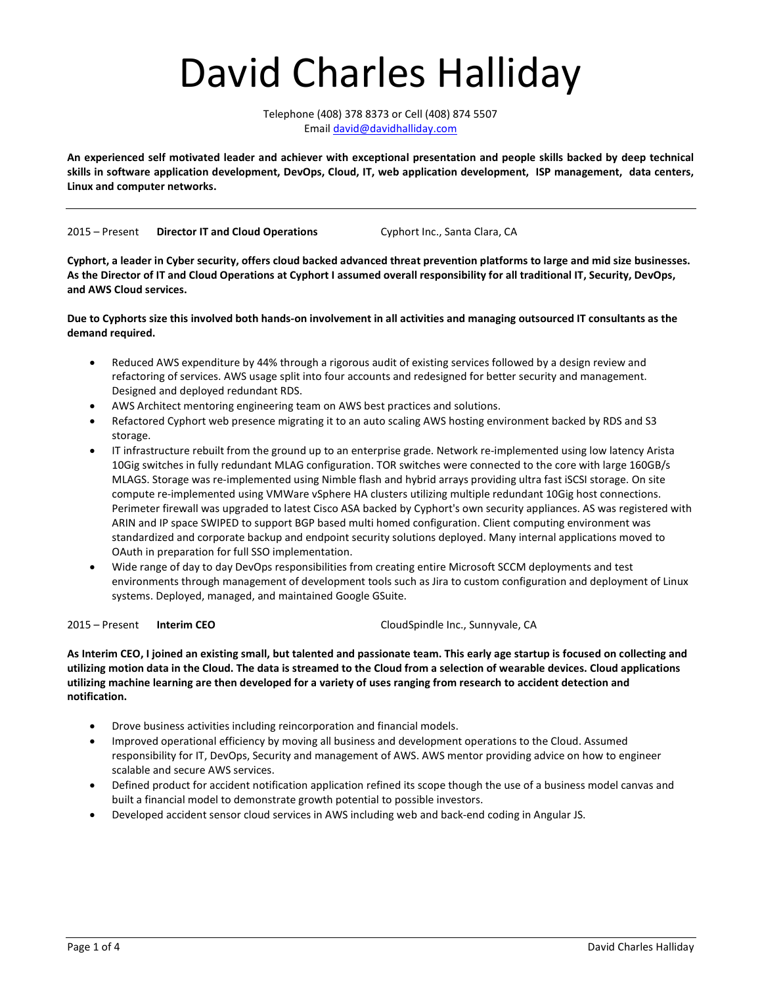# David Charles Halliday

Telephone (408) 378 8373 or Cell (408) 874 5507 Email david@davidhalliday.com

An experienced self motivated leader and achiever with exceptional presentation and people skills backed by deep technical skills in software application development, DevOps, Cloud, IT, web application development, ISP management, data centers, Linux and computer networks.

2015 – Present Director IT and Cloud Operations Cyphort Inc., Santa Clara, CA

Cyphort, a leader in Cyber security, offers cloud backed advanced threat prevention platforms to large and mid size businesses. As the Director of IT and Cloud Operations at Cyphort I assumed overall responsibility for all traditional IT, Security, DevOps, and AWS Cloud services.

Due to Cyphorts size this involved both hands-on involvement in all activities and managing outsourced IT consultants as the demand required.

- Reduced AWS expenditure by 44% through a rigorous audit of existing services followed by a design review and refactoring of services. AWS usage split into four accounts and redesigned for better security and management. Designed and deployed redundant RDS.
- AWS Architect mentoring engineering team on AWS best practices and solutions.
- Refactored Cyphort web presence migrating it to an auto scaling AWS hosting environment backed by RDS and S3 storage.
- IT infrastructure rebuilt from the ground up to an enterprise grade. Network re-implemented using low latency Arista 10Gig switches in fully redundant MLAG configuration. TOR switches were connected to the core with large 160GB/s MLAGS. Storage was re-implemented using Nimble flash and hybrid arrays providing ultra fast iSCSI storage. On site compute re-implemented using VMWare vSphere HA clusters utilizing multiple redundant 10Gig host connections. Perimeter firewall was upgraded to latest Cisco ASA backed by Cyphort's own security appliances. AS was registered with ARIN and IP space SWIPED to support BGP based multi homed configuration. Client computing environment was standardized and corporate backup and endpoint security solutions deployed. Many internal applications moved to OAuth in preparation for full SSO implementation.
- Wide range of day to day DevOps responsibilities from creating entire Microsoft SCCM deployments and test environments through management of development tools such as Jira to custom configuration and deployment of Linux systems. Deployed, managed, and maintained Google GSuite.

2015 – Present Interim CEO CloudSpindle Inc., Sunnyvale, CA

As Interim CEO, I joined an existing small, but talented and passionate team. This early age startup is focused on collecting and utilizing motion data in the Cloud. The data is streamed to the Cloud from a selection of wearable devices. Cloud applications utilizing machine learning are then developed for a variety of uses ranging from research to accident detection and notification.

- Drove business activities including reincorporation and financial models.
- Improved operational efficiency by moving all business and development operations to the Cloud. Assumed responsibility for IT, DevOps, Security and management of AWS. AWS mentor providing advice on how to engineer scalable and secure AWS services.
- Defined product for accident notification application refined its scope though the use of a business model canvas and built a financial model to demonstrate growth potential to possible investors.
- Developed accident sensor cloud services in AWS including web and back-end coding in Angular JS.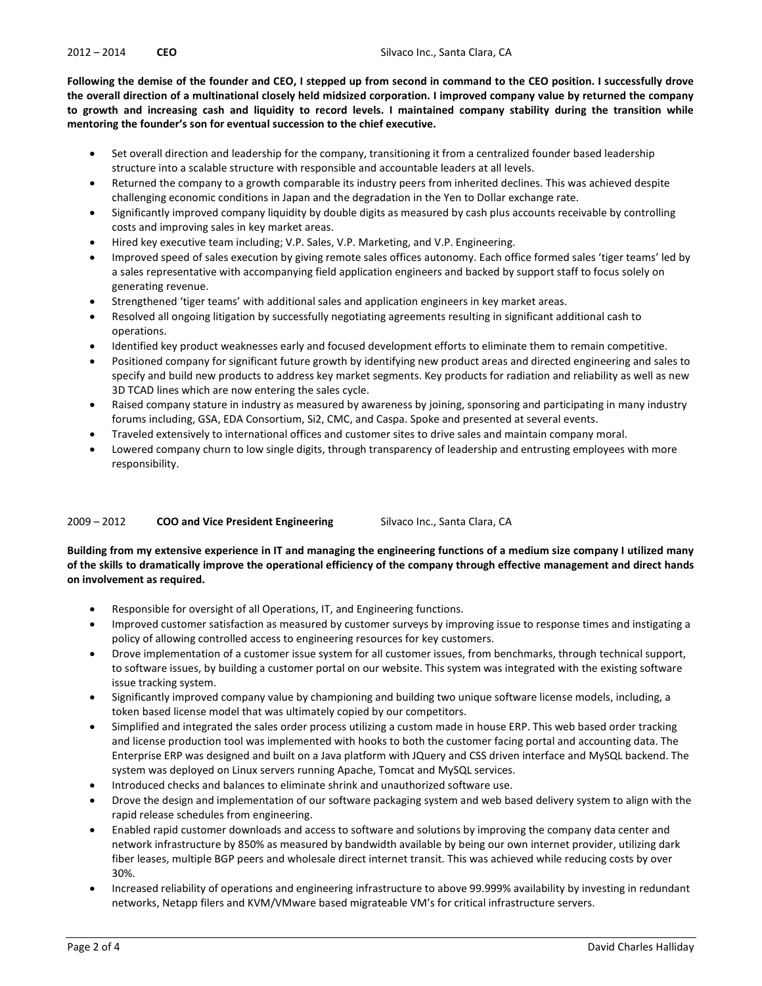Following the demise of the founder and CEO, I stepped up from second in command to the CEO position. I successfully drove the overall direction of a multinational closely held midsized corporation. I improved company value by returned the company to growth and increasing cash and liquidity to record levels. I maintained company stability during the transition while mentoring the founder's son for eventual succession to the chief executive.

- Set overall direction and leadership for the company, transitioning it from a centralized founder based leadership structure into a scalable structure with responsible and accountable leaders at all levels.
- Returned the company to a growth comparable its industry peers from inherited declines. This was achieved despite challenging economic conditions in Japan and the degradation in the Yen to Dollar exchange rate.
- Significantly improved company liquidity by double digits as measured by cash plus accounts receivable by controlling costs and improving sales in key market areas.
- Hired key executive team including; V.P. Sales, V.P. Marketing, and V.P. Engineering.
- Improved speed of sales execution by giving remote sales offices autonomy. Each office formed sales 'tiger teams' led by a sales representative with accompanying field application engineers and backed by support staff to focus solely on generating revenue.
- Strengthened 'tiger teams' with additional sales and application engineers in key market areas.
- Resolved all ongoing litigation by successfully negotiating agreements resulting in significant additional cash to operations.
- Identified key product weaknesses early and focused development efforts to eliminate them to remain competitive.
- Positioned company for significant future growth by identifying new product areas and directed engineering and sales to specify and build new products to address key market segments. Key products for radiation and reliability as well as new 3D TCAD lines which are now entering the sales cycle.
- Raised company stature in industry as measured by awareness by joining, sponsoring and participating in many industry forums including, GSA, EDA Consortium, Si2, CMC, and Caspa. Spoke and presented at several events.
- Traveled extensively to international offices and customer sites to drive sales and maintain company moral.
- Lowered company churn to low single digits, through transparency of leadership and entrusting employees with more responsibility.

### 2009 – 2012 **COO and Vice President Engineering Silvaco Inc., Santa Clara, CA**

Building from my extensive experience in IT and managing the engineering functions of a medium size company I utilized many of the skills to dramatically improve the operational efficiency of the company through effective management and direct hands on involvement as required.

- Responsible for oversight of all Operations, IT, and Engineering functions.
- Improved customer satisfaction as measured by customer surveys by improving issue to response times and instigating a policy of allowing controlled access to engineering resources for key customers.
- Drove implementation of a customer issue system for all customer issues, from benchmarks, through technical support, to software issues, by building a customer portal on our website. This system was integrated with the existing software issue tracking system.
- Significantly improved company value by championing and building two unique software license models, including, a token based license model that was ultimately copied by our competitors.
- Simplified and integrated the sales order process utilizing a custom made in house ERP. This web based order tracking and license production tool was implemented with hooks to both the customer facing portal and accounting data. The Enterprise ERP was designed and built on a Java platform with JQuery and CSS driven interface and MySQL backend. The system was deployed on Linux servers running Apache, Tomcat and MySQL services.
- Introduced checks and balances to eliminate shrink and unauthorized software use.
- Drove the design and implementation of our software packaging system and web based delivery system to align with the rapid release schedules from engineering.
- Enabled rapid customer downloads and access to software and solutions by improving the company data center and network infrastructure by 850% as measured by bandwidth available by being our own internet provider, utilizing dark fiber leases, multiple BGP peers and wholesale direct internet transit. This was achieved while reducing costs by over 30%.
- Increased reliability of operations and engineering infrastructure to above 99.999% availability by investing in redundant networks, Netapp filers and KVM/VMware based migrateable VM's for critical infrastructure servers.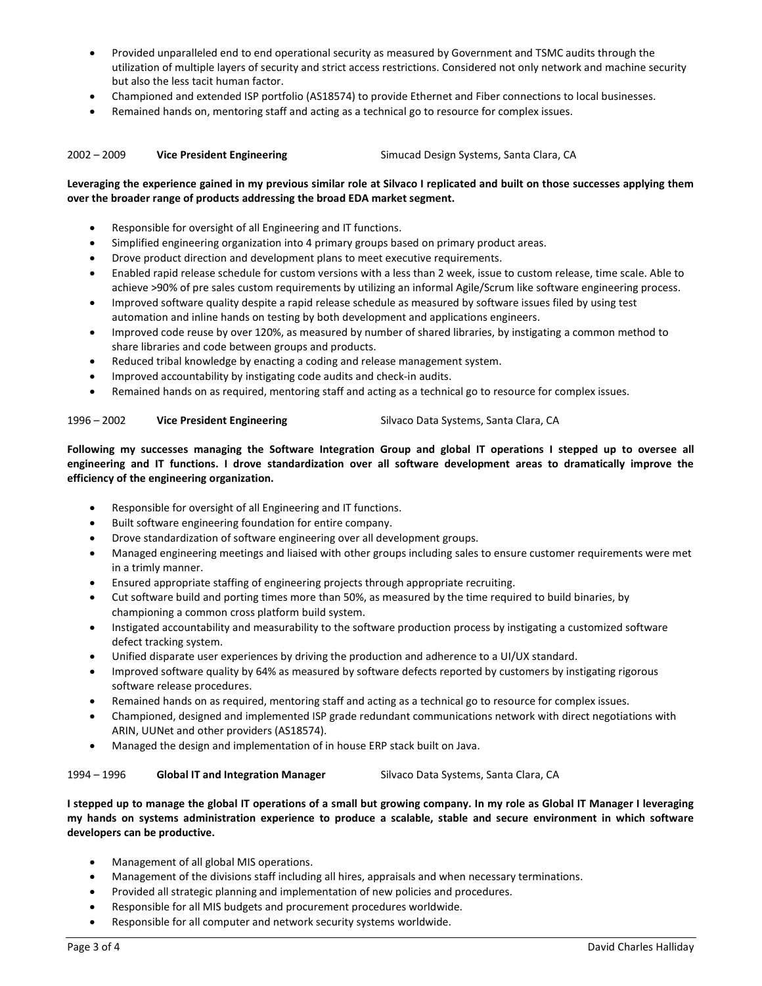- Provided unparalleled end to end operational security as measured by Government and TSMC audits through the utilization of multiple layers of security and strict access restrictions. Considered not only network and machine security but also the less tacit human factor.
- Championed and extended ISP portfolio (AS18574) to provide Ethernet and Fiber connections to local businesses.
- Remained hands on, mentoring staff and acting as a technical go to resource for complex issues.

### 2002 – 2009 Vice President Engineering Simucad Design Systems, Santa Clara, CA

## Leveraging the experience gained in my previous similar role at Silvaco I replicated and built on those successes applying them over the broader range of products addressing the broad EDA market segment.

- Responsible for oversight of all Engineering and IT functions.
- Simplified engineering organization into 4 primary groups based on primary product areas.
- Drove product direction and development plans to meet executive requirements.
- Enabled rapid release schedule for custom versions with a less than 2 week, issue to custom release, time scale. Able to achieve >90% of pre sales custom requirements by utilizing an informal Agile/Scrum like software engineering process.
- Improved software quality despite a rapid release schedule as measured by software issues filed by using test automation and inline hands on testing by both development and applications engineers.
- Improved code reuse by over 120%, as measured by number of shared libraries, by instigating a common method to share libraries and code between groups and products.
- Reduced tribal knowledge by enacting a coding and release management system.
- Improved accountability by instigating code audits and check-in audits.
- Remained hands on as required, mentoring staff and acting as a technical go to resource for complex issues.

#### 1996 – 2002 Vice President Engineering Silvaco Data Systems, Santa Clara, CA

Following my successes managing the Software Integration Group and global IT operations I stepped up to oversee all engineering and IT functions. I drove standardization over all software development areas to dramatically improve the efficiency of the engineering organization.

- Responsible for oversight of all Engineering and IT functions.
- Built software engineering foundation for entire company.
- Drove standardization of software engineering over all development groups.
- Managed engineering meetings and liaised with other groups including sales to ensure customer requirements were met in a trimly manner.
- Ensured appropriate staffing of engineering projects through appropriate recruiting.
- Cut software build and porting times more than 50%, as measured by the time required to build binaries, by championing a common cross platform build system.
- Instigated accountability and measurability to the software production process by instigating a customized software defect tracking system.
- Unified disparate user experiences by driving the production and adherence to a UI/UX standard.
- Improved software quality by 64% as measured by software defects reported by customers by instigating rigorous software release procedures.
- Remained hands on as required, mentoring staff and acting as a technical go to resource for complex issues.
- Championed, designed and implemented ISP grade redundant communications network with direct negotiations with ARIN, UUNet and other providers (AS18574).
- Managed the design and implementation of in house ERP stack built on Java.

#### 1994 – 1996 Global IT and Integration Manager Silvaco Data Systems, Santa Clara, CA

I stepped up to manage the global IT operations of a small but growing company. In my role as Global IT Manager I leveraging my hands on systems administration experience to produce a scalable, stable and secure environment in which software developers can be productive.

- Management of all global MIS operations.
- Management of the divisions staff including all hires, appraisals and when necessary terminations.
- Provided all strategic planning and implementation of new policies and procedures.
- Responsible for all MIS budgets and procurement procedures worldwide.
- Responsible for all computer and network security systems worldwide.